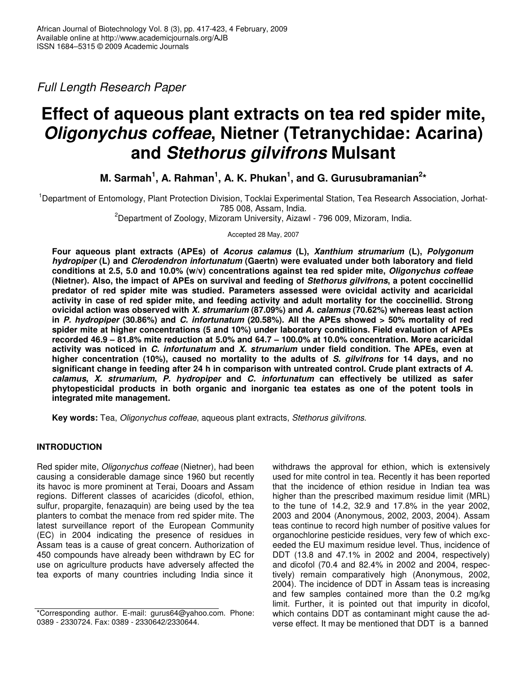*Full Length Research Paper*

# **Effect of aqueous plant extracts on tea red spider mite,** *Oligonychus coffeae***, Nietner (Tetranychidae: Acarina) and** *Stethorus gilvifrons* **Mulsant**

**M. Sarmah 1 , A. Rahman 1 , A. K. Phukan 1 , and G. Gurusubramanian 2 \***

<sup>1</sup>Department of Entomology, Plant Protection Division, Tocklai Experimental Station, Tea Research Association, Jorhat-785 008, Assam, India.

<sup>2</sup>Department of Zoology, Mizoram University, Aizawl - 796 009, Mizoram, India.

Accepted 28 May, 2007

**Four aqueous plant extracts (APEs) of** *Acorus calamus* **(L),** *Xanthium strumarium* **(L),** *Polygonum hydropiper* **(L) and** *Clerodendron infortunatum* **(Gaertn) were evaluated under both laboratory and field conditions at 2.5, 5.0 and 10.0% (w/v) concentrations against tea red spider mite,** *Oligonychus coffeae* **(Nietner). Also, the impact of APEs on survival and feeding of** *Stethorus gilvifrons***, a potent coccinellid predator of red spider mite was studied. Parameters assessed were ovicidal activity and acaricidal activity in case of red spider mite, and feeding activity and adult mortality for the coccinellid. Strong ovicidal action was observed with** *X. strumarium* **(87.09%) and** *A. calamus* **(70.62%) whereas least action in** *P. hydropiper* **(30.86%) and** *C. infortunatum* **(20.58%). All the APEs showed > 50% mortality of red spider mite at higher concentrations (5 and 10%) under laboratory conditions. Field evaluation of APEs recorded 46.9 – 81.8% mite reduction at 5.0% and 64.7 – 100.0% at 10.0% concentration. More acaricidal activity was noticed in** *C. infortunatum* **and** *X. strumarium* **under field condition. The APEs, even at higher concentration (10%), caused no mortality to the adults of** *S. gilvifrons* **for 14 days, and no significant change in feeding after 24 h in comparison with untreated control. Crude plant extracts of** *A. calamus***,** *X. strumarium***,** *P. hydropiper* **and** *C. infortunatum* **can effectively be utilized as safer phytopesticidal products in both organic and inorganic tea estates as one of the potent tools in integrated mite management.**

**Key words:** Tea, *Oligonychus coffeae*, aqueous plant extracts, *Stethorus gilvifrons*.

# **INTRODUCTION**

Red spider mite, *Oligonychus coffeae* (Nietner), had been causing a considerable damage since 1960 but recently its havoc is more prominent at Terai, Dooars and Assam regions. Different classes of acaricides (dicofol, ethion, sulfur, propargite, fenazaquin) are being used by the tea planters to combat the menace from red spider mite. The latest surveillance report of the European Community (EC) in 2004 indicating the presence of residues in Assam teas is a cause of great concern. Authorization of 450 compounds have already been withdrawn by EC for use on agriculture products have adversely affected the tea exports of many countries including India since it

withdraws the approval for ethion, which is extensively used for mite control in tea. Recently it has been reported that the incidence of ethion residue in Indian tea was higher than the prescribed maximum residue limit (MRL) to the tune of 14.2, 32.9 and 17.8% in the year 2002, 2003 and 2004 (Anonymous, 2002, 2003, 2004). Assam teas continue to record high number of positive values for organochlorine pesticide residues, very few of which exceeded the EU maximum residue level. Thus, incidence of DDT (13.8 and 47.1% in 2002 and 2004, respectively) and dicofol (70.4 and 82.4% in 2002 and 2004, respectively) remain comparatively high (Anonymous, 2002, 2004). The incidence of DDT in Assam teas is increasing and few samples contained more than the 0.2 mg/kg limit. Further, it is pointed out that impurity in dicofol, which contains DDT as contaminant might cause the adverse effect. It may be mentioned that DDT is a banned

<sup>\*</sup>Corresponding author. E-mail: gurus64@yahoo.com. Phone: 0389 - 2330724. Fax: 0389 - 2330642/2330644.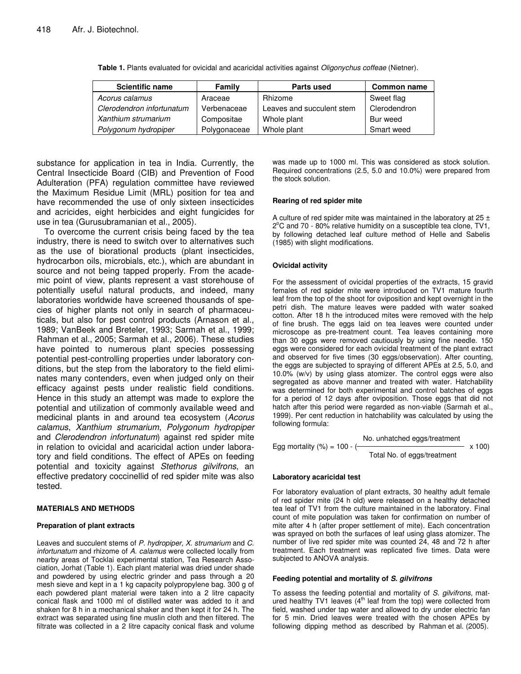| <b>Scientific name</b>    | Family       | <b>Parts used</b>         | <b>Common name</b> |  |  |
|---------------------------|--------------|---------------------------|--------------------|--|--|
| Acorus calamus            | Araceae      | Rhizome                   | Sweet flag         |  |  |
| Clerodendron infortunatum | Verbenaceae  | Leaves and succulent stem | Clerodendron       |  |  |
| Xanthium strumarium       | Compositae   | Whole plant               | Bur weed           |  |  |
| Polygonum hydropiper      | Polygonaceae | Whole plant               | Smart weed         |  |  |

**Table 1.** Plants evaluated for ovicidal and acaricidal activities against *Oligonychus coffeae* (Nietner).

substance for application in tea in India. Currently, the Central Insecticide Board (CIB) and Prevention of Food Adulteration (PFA) regulation committee have reviewed the Maximum Residue Limit (MRL) position for tea and have recommended the use of only sixteen insecticides and acricides, eight herbicides and eight fungicides for use in tea (Gurusubramanian et al., 2005).

To overcome the current crisis being faced by the tea industry, there is need to switch over to alternatives such as the use of biorational products (plant insecticides, hydrocarbon oils, microbials, etc.), which are abundant in source and not being tapped properly. From the academic point of view, plants represent a vast storehouse of potentially useful natural products, and indeed, many laboratories worldwide have screened thousands of species of higher plants not only in search of pharmaceuticals, but also for pest control products (Arnason et al., 1989; VanBeek and Breteler, 1993; Sarmah et al., 1999; Rahman et al., 2005; Sarmah et al., 2006). These studies have pointed to numerous plant species possessing potential pest-controlling properties under laboratory conditions, but the step from the laboratory to the field eliminates many contenders, even when judged only on their efficacy against pests under realistic field conditions. Hence in this study an attempt was made to explore the potential and utilization of commonly available weed and medicinal plants in and around tea ecosystem (*Acorus calamus*, *Xanthium strumarium*, *Polygonum hydropiper* and *Clerodendron infortunatum*) against red spider mite in relation to ovicidal and acaricidal action under laboratory and field conditions. The effect of APEs on feeding potential and toxicity against *Stethorus gilvifrons*, an effective predatory coccinellid of red spider mite was also tested.

#### **MATERIALS AND METHODS**

#### **Preparation of plant extracts**

Leaves and succulent stems of *P. hydropiper, X. strumarium* and *C. infortunatum* and rhizome of *A. calamus* were collected locally from nearby areas of Tocklai experimental station, Tea Research Association, Jorhat (Table 1). Each plant material was dried under shade and powdered by using electric grinder and pass through a 20 mesh sieve and kept in a 1 kg capacity polypropylene bag. 300 g of each powdered plant material were taken into a 2 litre capacity conical flask and 1000 ml of distilled water was added to it and shaken for 8 h in a mechanical shaker and then kept it for 24 h. The extract was separated using fine muslin cloth and then filtered. The filtrate was collected in a 2 litre capacity conical flask and volume was made up to 1000 ml. This was considered as stock solution. Required concentrations (2.5, 5.0 and 10.0%) were prepared from the stock solution.

#### **Rearing of red spider mite**

A culture of red spider mite was maintained in the laboratory at  $25 \pm$ 2°C and 70 - 80% relative humidity on a susceptible tea clone, TV1, by following detached leaf culture method of Helle and Sabelis (1985) with slight modifications.

### **Ovicidal activity**

For the assessment of ovicidal properties of the extracts, 15 gravid females of red spider mite were introduced on TV1 mature fourth leaf from the top of the shoot for oviposition and kept overnight in the petri dish. The mature leaves were padded with water soaked cotton. After 18 h the introduced mites were removed with the help of fine brush. The eggs laid on tea leaves were counted under microscope as pre-treatment count. Tea leaves containing more than 30 eggs were removed cautiously by using fine needle. 150 eggs were considered for each ovicidal treatment of the plant extract and observed for five times (30 eggs/observation). After counting, the eggs are subjected to spraying of different APEs at 2.5, 5.0, and 10.0% (w/v) by using glass atomizer. The control eggs were also segregated as above manner and treated with water. Hatchability was determined for both experimental and control batches of eggs for a period of 12 days after oviposition. Those eggs that did not hatch after this period were regarded as non-viable (Sarmah et al., 1999). Per cent reduction in hatchability was calculated by using the following formula:

Egg mortality (
$$
%
$$
) = 100 - (  
Total No. on the largest treatment  
Total No. of eggs/treatment

#### **Laboratory acaricidal test**

For laboratory evaluation of plant extracts, 30 healthy adult female of red spider mite (24 h old) were released on a healthy detached tea leaf of TV1 from the culture maintained in the laboratory. Final count of mite population was taken for confirmation on number of mite after 4 h (after proper settlement of mite). Each concentration was sprayed on both the surfaces of leaf using glass atomizer. The number of live red spider mite was counted 24, 48 and 72 h after treatment. Each treatment was replicated five times. Data were subjected to ANOVA analysis.

#### **Feeding potential and mortality of** *S. gilvifrons*

To assess the feeding potential and mortality of *S. gilvifrons*, matured healthy TV1 leaves  $(4<sup>th</sup>$  leaf from the top) were collected from field, washed under tap water and allowed to dry under electric fan for 5 min. Dried leaves were treated with the chosen APEs by following dipping method as described by Rahman et al. (2005).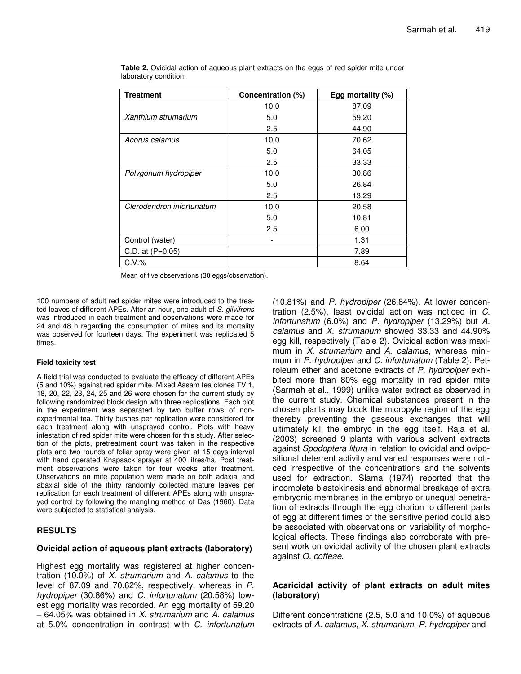| <b>Treatment</b>          | Concentration (%) | Egg mortality (%) |
|---------------------------|-------------------|-------------------|
|                           | 10.0              | 87.09             |
| Xanthium strumarium       | 5.0               | 59.20             |
|                           | 2.5               | 44.90             |
| Acorus calamus            | 10.0              | 70.62             |
|                           | 5.0               | 64.05             |
|                           | 2.5               | 33.33             |
| Polygonum hydropiper      | 10.0              | 30.86             |
|                           | 5.0               | 26.84             |
|                           | 2.5               | 13.29             |
| Clerodendron infortunatum | 10.0              | 20.58             |
|                           | 5.0               | 10.81             |
|                           | 2.5               | 6.00              |
| Control (water)           |                   | 1.31              |
| C.D. at (P=0.05)          |                   | 7.89              |
| $C.V.$ %                  |                   | 8.64              |

**Table 2.** Ovicidal action of aqueous plant extracts on the eggs of red spider mite under laboratory condition.

Mean of five observations (30 eggs/observation).

100 numbers of adult red spider mites were introduced to the treated leaves of different APEs. After an hour, one adult of *S. gilvifrons* was introduced in each treatment and observations were made for 24 and 48 h regarding the consumption of mites and its mortality was observed for fourteen days. The experiment was replicated 5 times.

#### **Field toxicity test**

A field trial was conducted to evaluate the efficacy of different APEs (5 and 10%) against red spider mite. Mixed Assam tea clones TV 1, 18, 20, 22, 23, 24, 25 and 26 were chosen for the current study by following randomized block design with three replications. Each plot in the experiment was separated by two buffer rows of nonexperimental tea. Thirty bushes per replication were considered for each treatment along with unsprayed control. Plots with heavy infestation of red spider mite were chosen for this study. After selection of the plots, pretreatment count was taken in the respective plots and two rounds of foliar spray were given at 15 days interval with hand operated Knapsack sprayer at 400 litres/ha. Post treatment observations were taken for four weeks after treatment. Observations on mite population were made on both adaxial and abaxial side of the thirty randomly collected mature leaves per replication for each treatment of different APEs along with unsprayed control by following the mangling method of Das (1960). Data were subjected to statistical analysis.

## **RESULTS**

## **Ovicidal action of aqueous plant extracts (laboratory)**

Highest egg mortality was registered at higher concentration (10.0%) of *X. strumarium* and *A. calamus* to the level of 87.09 and 70.62%, respectively, whereas in *P. hydropiper* (30.86%) and *C. infortunatum* (20.58%) lowest egg mortality was recorded. An egg mortality of 59.20 – 64.05% was obtained in *X. strumarium* and *A. calamus* at 5.0% concentration in contrast with *C. infortunatum*

(10.81%) and *P. hydropiper* (26.84%). At lower concentration (2.5%), least ovicidal action was noticed in *C. infortunatum* (6.0%) and *P. hydropiper* (13.29%) but *A. calamus* and *X. strumarium* showed 33.33 and 44.90% egg kill, respectively (Table 2). Ovicidal action was maximum in *X. strumarium* and *A. calamus*, whereas minimum in *P. hydropiper* and *C. infortunatum* (Table 2). Petroleum ether and acetone extracts of *P. hydropiper* exhibited more than 80% egg mortality in red spider mite (Sarmah et al., 1999) unlike water extract as observed in the current study. Chemical substances present in the chosen plants may block the micropyle region of the egg thereby preventing the gaseous exchanges that will ultimately kill the embryo in the egg itself. Raja et al. (2003) screened 9 plants with various solvent extracts against *Spodoptera litura* in relation to ovicidal and ovipositional deterrent activity and varied responses were noticed irrespective of the concentrations and the solvents used for extraction. Slama (1974) reported that the incomplete blastokinesis and abnormal breakage of extra embryonic membranes in the embryo or unequal penetration of extracts through the egg chorion to different parts of egg at different times of the sensitive period could also be associated with observations on variability of morphological effects. These findings also corroborate with present work on ovicidal activity of the chosen plant extracts against *O. coffeae*.

## **Acaricidal activity of plant extracts on adult mites (laboratory)**

Different concentrations (2.5, 5.0 and 10.0%) of aqueous extracts of *A. calamus*, *X. strumarium*, *P. hydropiper* and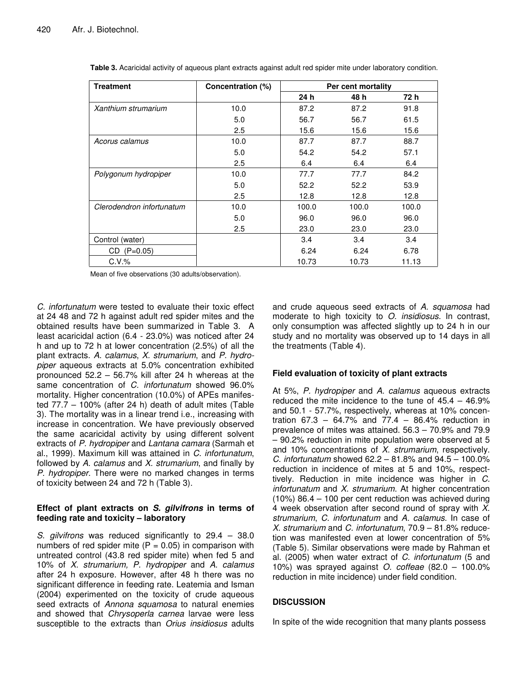| <b>Treatment</b>          | Concentration (%) | Per cent mortality |       |       |
|---------------------------|-------------------|--------------------|-------|-------|
|                           |                   | 24 h               | 48 h  | 72 h  |
| Xanthium strumarium       | 10.0              | 87.2               | 87.2  | 91.8  |
|                           | 5.0               | 56.7               | 56.7  | 61.5  |
|                           | 2.5               | 15.6               | 15.6  | 15.6  |
| Acorus calamus            | 10.0              | 87.7               | 87.7  | 88.7  |
|                           | 5.0               | 54.2               | 54.2  | 57.1  |
|                           | 2.5               | 6.4                | 6.4   | 6.4   |
| Polygonum hydropiper      | 10.0              | 77.7               | 77.7  | 84.2  |
|                           | 5.0               | 52.2               | 52.2  | 53.9  |
|                           | 2.5               | 12.8               | 12.8  | 12.8  |
| Clerodendron infortunatum | 10.0              | 100.0              | 100.0 | 100.0 |
|                           | 5.0               | 96.0               | 96.0  | 96.0  |
|                           | 2.5               | 23.0               | 23.0  | 23.0  |
| Control (water)           |                   | 3.4                | 3.4   | 3.4   |
| $(P=0.05)$<br>CD          |                   | 6.24               | 6.24  | 6.78  |
| $C.V.$ %                  |                   | 10.73              | 10.73 | 11.13 |

**Table 3.** Acaricidal activity of aqueous plant extracts against adult red spider mite under laboratory condition.

Mean of five observations (30 adults/observation).

*C. infortunatum* were tested to evaluate their toxic effect at 24 48 and 72 h against adult red spider mites and the obtained results have been summarized in Table 3. A least acaricidal action (6.4 - 23.0%) was noticed after 24 h and up to 72 h at lower concentration (2.5%) of all the plant extracts. *A. calamus*, *X. strumarium*, and *P. hydropiper* aqueous extracts at 5.0% concentration exhibited pronounced 52.2 – 56.7% kill after 24 h whereas at the same concentration of *C. infortunatum* showed 96.0% mortality. Higher concentration (10.0%) of APEs manifested 77.7 – 100% (after 24 h) death of adult mites (Table 3). The mortality was in a linear trend i.e., increasing with increase in concentration. We have previously observed the same acaricidal activity by using different solvent extracts of *P. hydropiper* and *Lantana camara* (Sarmah et al., 1999). Maximum kill was attained in *C. infortunatum*, followed by *A. calamus* and *X. strumarium*, and finally by *P. hydropiper*. There were no marked changes in terms of toxicity between 24 and 72 h (Table 3).

## **Effect of plant extracts on** *S. gilvifrons* **in terms of feeding rate and toxicity – laboratory**

*S. gilvifrons* was reduced significantly to 29.4 – 38.0 numbers of red spider mite  $(P = 0.05)$  in comparison with untreated control (43.8 red spider mite) when fed 5 and 10% of *X. strumarium, P. hydropiper* and *A. calamus* after 24 h exposure. However, after 48 h there was no significant difference in feeding rate. Leatemia and Isman (2004) experimented on the toxicity of crude aqueous seed extracts of *Annona squamosa* to natural enemies and showed that *Chrysoperla carnea* larvae were less susceptible to the extracts than *Orius insidiosus* adults and crude aqueous seed extracts of *A. squamosa* had moderate to high toxicity to *O. insidiosus.* In contrast, only consumption was affected slightly up to 24 h in our study and no mortality was observed up to 14 days in all the treatments (Table 4).

## **Field evaluation of toxicity of plant extracts**

At 5%, *P. hydropiper* and *A. calamus* aqueous extracts reduced the mite incidence to the tune of  $45.4 - 46.9\%$ and 50.1 - 57.7%, respectively, whereas at 10% concentration  $67.3 - 64.7\%$  and  $77.4 - 86.4\%$  reduction in prevalence of mites was attained. 56.3 – 70.9% and 79.9 – 90.2% reduction in mite population were observed at 5 and 10% concentrations of *X. strumarium*, respectively. *C. infortunatum* showed 62.2 – 81.8% and 94.5 – 100.0% reduction in incidence of mites at 5 and 10%, respecttively. Reduction in mite incidence was higher in *C. infortunatum* and *X. strumarium*. At higher concentration (10%) 86.4 – 100 per cent reduction was achieved during 4 week observation after second round of spray with *X. strumarium*, *C. infortunatum* and *A. calamus*. In case of *X. strumarium* and *C. infortunatum*, 70.9 – 81.8% reducetion was manifested even at lower concentration of 5% (Table 5). Similar observations were made by Rahman et al. (2005) when water extract of *C. infortunatum* (5 and 10%) was sprayed against *O. coffeae* (82.0 – 100.0% reduction in mite incidence) under field condition.

# **DISCUSSION**

In spite of the wide recognition that many plants possess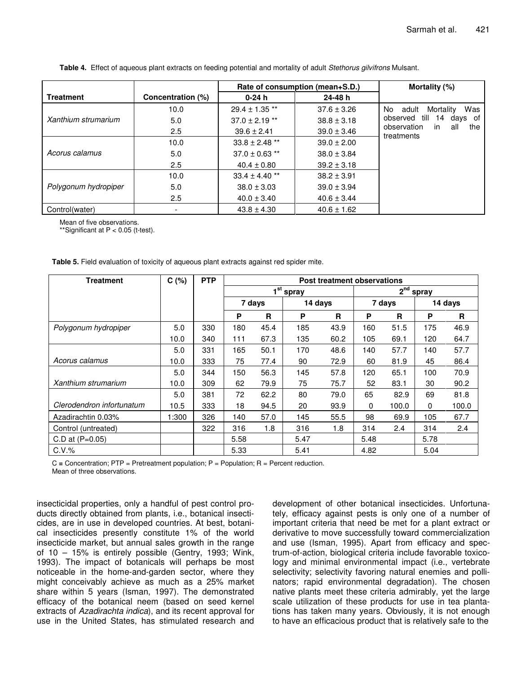|                      |                   |                    | Rate of consumption (mean+S.D.) | Mortality (%)                                 |  |  |  |
|----------------------|-------------------|--------------------|---------------------------------|-----------------------------------------------|--|--|--|
| <b>Treatment</b>     | Concentration (%) | $0-24h$            | 24-48 h                         |                                               |  |  |  |
| Xanthium strumarium  | 10.0              | $29.4 \pm 1.35$ ** | $37.6 \pm 3.26$                 | Was<br>No.<br>Mortality<br>adult              |  |  |  |
|                      | 5.0               | $37.0 \pm 2.19$ ** | $38.8 \pm 3.18$                 | observed till<br>of<br>14 days                |  |  |  |
|                      | 2.5               | $39.6 \pm 2.41$    | $39.0 \pm 3.46$                 | in<br>observation<br>the<br>all<br>treatments |  |  |  |
| Acorus calamus       | 10.0              | $33.8 \pm 2.48$ ** | $39.0 \pm 2.00$                 |                                               |  |  |  |
|                      | 5.0               | $37.0 \pm 0.63$ ** | $38.0 \pm 3.84$                 |                                               |  |  |  |
|                      | 2.5               | $40.4 \pm 0.80$    | $39.2 \pm 3.18$                 |                                               |  |  |  |
| Polygonum hydropiper | 10.0              | $33.4 \pm 4.40$ ** | $38.2 \pm 3.91$                 |                                               |  |  |  |
|                      | 5.0               | $38.0 \pm 3.03$    | $39.0 \pm 3.94$                 |                                               |  |  |  |
|                      | 2.5               | $40.0 \pm 3.40$    | $40.6 \pm 3.44$                 |                                               |  |  |  |
| Control(water)       |                   | $43.8 \pm 4.30$    | $40.6 \pm 1.62$                 |                                               |  |  |  |

**Table 4.** Effect of aqueous plant extracts on feeding potential and mortality of adult *Stethorus gilvifrons* Mulsant.

Mean of five observations.

\*Significant at  $P < 0.05$  (t-test).

**Table 5.** Field evaluation of toxicity of aqueous plant extracts against red spider mite.

| <b>Treatment</b>          | C(%)  | <b>PTP</b> | Post treatment observations |      |         |                            |              |       |         |       |
|---------------------------|-------|------------|-----------------------------|------|---------|----------------------------|--------------|-------|---------|-------|
|                           |       |            | $1^{\rm st}$<br>spray       |      |         | 2 <sup>nd</sup><br>' spray |              |       |         |       |
|                           |       |            | 7 days                      |      | 14 days |                            | 7 days       |       | 14 days |       |
|                           |       |            | P                           | R    | P       | R                          | P            | R     | P       | R     |
| Polygonum hydropiper      | 5.0   | 330        | 180                         | 45.4 | 185     | 43.9                       | 160          | 51.5  | 175     | 46.9  |
|                           | 10.0  | 340        | 111                         | 67.3 | 135     | 60.2                       | 105          | 69.1  | 120     | 64.7  |
|                           | 5.0   | 331        | 165                         | 50.1 | 170     | 48.6                       | 140          | 57.7  | 140     | 57.7  |
| Acorus calamus            | 10.0  | 333        | 75                          | 77.4 | 90      | 72.9                       | 60           | 81.9  | 45      | 86.4  |
|                           | 5.0   | 344        | 150                         | 56.3 | 145     | 57.8                       | 120          | 65.1  | 100     | 70.9  |
| Xanthium strumarium       | 10.0  | 309        | 62                          | 79.9 | 75      | 75.7                       | 52           | 83.1  | 30      | 90.2  |
|                           | 5.0   | 381        | 72                          | 62.2 | 80      | 79.0                       | 65           | 82.9  | 69      | 81.8  |
| Clerodendron infortunatum | 10.5  | 333        | 18                          | 94.5 | 20      | 93.9                       | $\mathbf{0}$ | 100.0 | 0       | 100.0 |
| Azadirachtin 0.03%        | 1:300 | 326        | 140                         | 57.0 | 145     | 55.5                       | 98           | 69.9  | 105     | 67.7  |
| Control (untreated)       |       | 322        | 316                         | 1.8  | 316     | 1.8                        | 314          | 2.4   | 314     | 2.4   |
| C.D at $(P=0.05)$         |       |            | 5.58                        |      | 5.47    |                            | 5.48         |       | 5.78    |       |
| $C.V.$ %                  |       |            | 5.33                        |      | 5.41    |                            | 4.82         |       | 5.04    |       |

C **=** Concentration; PTP = Pretreatment population; P = Population; R = Percent reduction.

Mean of three observations.

insecticidal properties, only a handful of pest control products directly obtained from plants, i.e., botanical insecticides, are in use in developed countries. At best, botanical insecticides presently constitute 1% of the world insecticide market, but annual sales growth in the range of 10 – 15% is entirely possible (Gentry, 1993; Wink, 1993). The impact of botanicals will perhaps be most noticeable in the home-and-garden sector, where they might conceivably achieve as much as a 25% market share within 5 years (Isman, 1997). The demonstrated efficacy of the botanical neem (based on seed kernel extracts of *Azadirachta indica*), and its recent approval for use in the United States, has stimulated research and development of other botanical insecticides. Unfortunately, efficacy against pests is only one of a number of important criteria that need be met for a plant extract or derivative to move successfully toward commercialization and use (Isman, 1995). Apart from efficacy and spectrum-of-action, biological criteria include favorable toxicology and minimal environmental impact (i.e., vertebrate selectivity; selectivity favoring natural enemies and pollinators; rapid environmental degradation). The chosen native plants meet these criteria admirably, yet the large scale utilization of these products for use in tea plantations has taken many years. Obviously, it is not enough to have an efficacious product that is relatively safe to the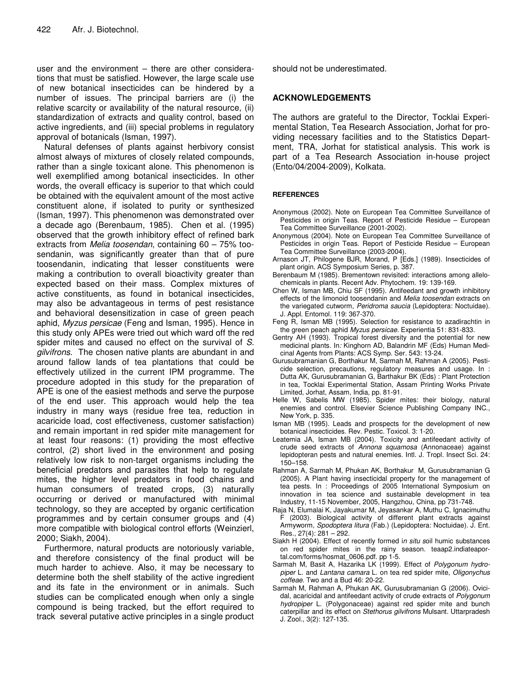user and the environment – there are other considerations that must be satisfied. However, the large scale use of new botanical insecticides can be hindered by a number of issues. The principal barriers are (i) the relative scarcity or availability of the natural resource, (ii) standardization of extracts and quality control, based on active ingredients, and (iii) special problems in regulatory approval of botanicals (Isman, 1997).

Natural defenses of plants against herbivory consist almost always of mixtures of closely related compounds, rather than a single toxicant alone. This phenomenon is well exemplified among botanical insecticides. In other words, the overall efficacy is superior to that which could be obtained with the equivalent amount of the most active constituent alone, if isolated to purity or synthesized (Isman, 1997). This phenomenon was demonstrated over a decade ago (Berenbaum, 1985). Chen et al. (1995) observed that the growth inhibitory effect of refined bark extracts from *Melia toosendan*, containing 60 – 75% toosendanin, was significantly greater than that of pure toosendanin, indicating that lesser constituents were making a contribution to overall bioactivity greater than expected based on their mass. Complex mixtures of active constituents, as found in botanical insecticides, may also be advantageous in terms of pest resistance and behavioral desensitization in case of green peach aphid, *Myzus persicae* (Feng and Isman, 1995). Hence in this study only APEs were tried out which ward off the red spider mites and caused no effect on the survival of *S. gilvifrons*. The chosen native plants are abundant in and around fallow lands of tea plantations that could be effectively utilized in the current IPM programme. The procedure adopted in this study for the preparation of APE is one of the easiest methods and serve the purpose of the end user. This approach would help the tea industry in many ways (residue free tea, reduction in acaricide load, cost effectiveness, customer satisfaction) and remain important in red spider mite management for at least four reasons: (1) providing the most effective control, (2) short lived in the environment and posing relatively low risk to non-target organisms including the beneficial predators and parasites that help to regulate mites, the higher level predators in food chains and human consumers of treated crops, (3) naturally occurring or derived or manufactured with minimal technology, so they are accepted by organic certification programmes and by certain consumer groups and (4) more compatible with biological control efforts (Weinzierl, 2000; Siakh, 2004).

Furthermore, natural products are notoriously variable, and therefore consistency of the final product will be much harder to achieve. Also, it may be necessary to determine both the shelf stability of the active ingredient and its fate in the environment or in animals. Such studies can be complicated enough when only a single compound is being tracked, but the effort required to track several putative active principles in a single product should not be underestimated.

## **ACKNOWLEDGEMENTS**

The authors are grateful to the Director, Tocklai Experimental Station, Tea Research Association, Jorhat for providing necessary facilities and to the Statistics Department, TRA, Jorhat for statistical analysis. This work is part of a Tea Research Association in-house project (Ento/04/2004-2009), Kolkata.

## **REFERENCES**

- Anonymous (2002). Note on European Tea Committee Surveillance of Pesticides in origin Teas. Report of Pesticide Residue – European Tea Committee Surveillance (2001-2002).
- Anonymous (2004). Note on European Tea Committee Surveillance of Pesticides in origin Teas. Report of Pesticide Residue – European Tea Committee Surveillance (2003-2004).
- Arnason JT, Philogene BJR, Morand, P [Eds.] (1989)*.* Insecticides of plant origin. ACS Symposium Series*,* p. 387.
- Berenbaum M (1985). Brementown revisited: interactions among allelochemicals in plants. Recent Adv. Phytochem. 19: 139-169.
- Chen W, Isman MB, Chiu SF (1995). Antifeedant and growth inhibitory effects of the limonoid toosendanin and *Melia toosendan* extracts on the variegated cutworm, *Peridroma saucia* (Lepidoptera: Noctuidae). J. Appl. Entomol*.* 119: 367-370.
- Feng R, Isman MB (1995). Selection for resistance to azadirachtin in the green peach aphid *Myzus persicae.* Experientia 51: 831-833.
- Gentry AH (1993). Tropical forest diversity and the potential for new medicinal plants. In*:* Kinghorn AD, Balandrin MF (Eds) Human Medicinal Agents from Plants: ACS Symp. Ser*.* 543: 13-24.
- Gurusubramanian G, Borthakur M, Sarmah M, Rahman A (2005). Pesticide selection, precautions, regulatory measures and usage. In : Dutta AK, Gurusubramanian G, Barthakur BK (Eds) : Plant Protection in tea, Tocklai Experimental Station, Assam Printing Works Private Limited, Jorhat, Assam, India, pp. 81-91.
- Helle W, Sabelis MW (1985). Spider mites: their biology, natural enemies and control. Elsevier Science Publishing Company INC., New York, p. 335.
- Isman MB (1995). Leads and prospects for the development of new botanical insecticides. Rev. Pestic. Toxicol. 3: 1-20.
- Leatemia JA, Isman MB (2004). Toxicity and antifeedant activity of crude seed extracts of *Annona squamosa* (Annonaceae) against lepidopteran pests and natural enemies. Intl. J. Tropl. Insect Sci*.* 24: 150–158.
- Rahman A, Sarmah M, Phukan AK, Borthakur M, Gurusubramanian G (2005). A Plant having insecticidal property for the management of tea pests. In : Proceedings of 2005 International Symposium on innovation in tea science and sustainable development in tea Industry, 11-15 November, 2005, Hangzhou, China, pp 731-748.
- Raja N, Elumalai K, Jayakumar M, Jeyasankar A, Muthu C, Ignacimuthu F (2003). Biological activity of different plant extracts against Armyworm, *Spodoptera litura* (Fab.) (Lepidoptera: Noctuidae). J. Ent. Res*.*, 27(4): 281 – 292.
- Siakh H (2004). Effect of recently formed i*n situ s*oil humic substances on red spider mites in the rainy season. teaap2.indiateaportal.com/forms/hosmat\_0606.pdf. pp 1-5.
- Sarmah M, Basit A, Hazarika LK (1999). Effect of *Polygonum hydropiper* L. and *Lantana camara* L. on tea red spider mite, *Oligonychus coffeae*. Two and a Bud 46: 20-22.
- Sarmah M, Rahman A, Phukan AK, Gurusubramanian G (2006). Ovicidal, acaricidal and antifeedant activity of crude extracts of *Polygonum hydropiper* L. (Polygonaceae) against red spider mite and bunch caterpillar and its effect on *Stethorus gilvifrons* Mulsant. Uttarpradesh J. Zool., 3(2): 127-135.